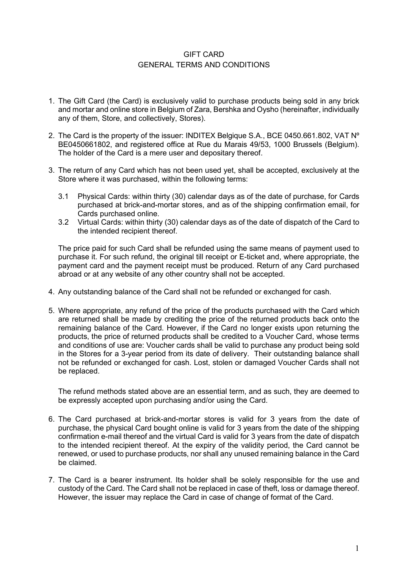## GIFT CARD GENERAL TERMS AND CONDITIONS

- 1. The Gift Card (the Card) is exclusively valid to purchase products being sold in any brick and mortar and online store in Belgium of Zara, Bershka and Oysho (hereinafter, individually any of them, Store, and collectively, Stores).
- 2. The Card is the property of the issuer: INDITEX Belgique S.A., BCE 0450.661.802, VAT N<sup>o</sup> BE0450661802, and registered office at Rue du Marais 49/53, 1000 Brussels (Belgium). The holder of the Card is a mere user and depositary thereof.
- 3. The return of any Card which has not been used yet, shall be accepted, exclusively at the Store where it was purchased, within the following terms:
	- 3.1 Physical Cards: within thirty (30) calendar days as of the date of purchase, for Cards purchased at brick-and-mortar stores, and as of the shipping confirmation email, for Cards purchased online.
	- 3.2 Virtual Cards: within thirty (30) calendar days as of the date of dispatch of the Card to the intended recipient thereof.

The price paid for such Card shall be refunded using the same means of payment used to purchase it. For such refund, the original till receipt or E-ticket and, where appropriate, the payment card and the payment receipt must be produced. Return of any Card purchased abroad or at any website of any other country shall not be accepted.

- 4. Any outstanding balance of the Card shall not be refunded or exchanged for cash.
- 5. Where appropriate, any refund of the price of the products purchased with the Card which are returned shall be made by crediting the price of the returned products back onto the remaining balance of the Card. However, if the Card no longer exists upon returning the products, the price of returned products shall be credited to a Voucher Card, whose terms and conditions of use are: Voucher cards shall be valid to purchase any product being sold in the Stores for a 3-year period from its date of delivery. Their outstanding balance shall not be refunded or exchanged for cash. Lost, stolen or damaged Voucher Cards shall not be replaced.

The refund methods stated above are an essential term, and as such, they are deemed to be expressly accepted upon purchasing and/or using the Card.

- 6. The Card purchased at brick-and-mortar stores is valid for 3 years from the date of purchase, the physical Card bought online is valid for 3 years from the date of the shipping confirmation e-mail thereof and the virtual Card is valid for 3 years from the date of dispatch to the intended recipient thereof. At the expiry of the validity period, the Card cannot be renewed, or used to purchase products, nor shall any unused remaining balance in the Card be claimed.
- 7. The Card is a bearer instrument. Its holder shall be solely responsible for the use and custody of the Card. The Card shall not be replaced in case of theft, loss or damage thereof. However, the issuer may replace the Card in case of change of format of the Card.